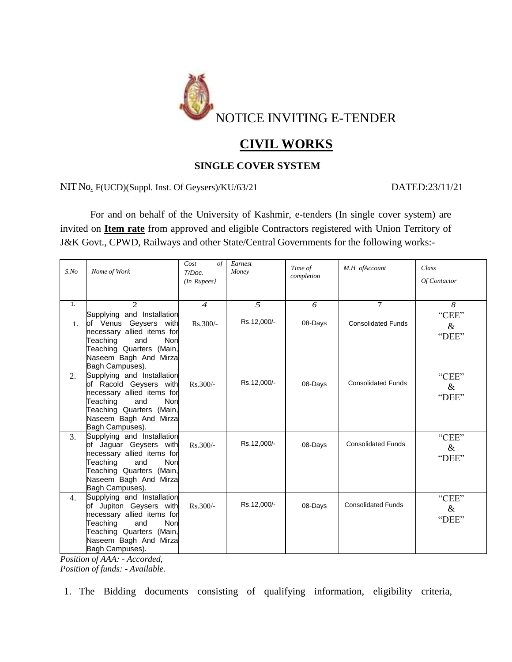

# **CIVIL WORKS**

# **SINGLE COVER SYSTEM**

NIT No. F(UCD)(Suppl. Inst. Of Geysers)/KU/63/21 DATED:23/11/21

For and on behalf of the University of Kashmir, e-tenders (In single cover system) are invited on **Item rate** from approved and eligible Contractors registered with Union Territory of J&K Govt., CPWD, Railways and other State/Central Governments for the following works:-

| $S$ .No        | Nome of Work                                                                                                                                                                                                                               | Cost<br>$\sigma f$<br>T/Doc.<br>$(In$ Rupees $)$ | Earnest<br>Money | Time of<br>completion | M.H ofAccount             | Class<br>Of Contactor  |
|----------------|--------------------------------------------------------------------------------------------------------------------------------------------------------------------------------------------------------------------------------------------|--------------------------------------------------|------------------|-----------------------|---------------------------|------------------------|
| 1.             | $\mathcal{D}_{\mathcal{L}}$                                                                                                                                                                                                                | $\boldsymbol{\Lambda}$                           | $\sqrt{2}$       | 6                     | $\tau$                    | 8                      |
| $\mathbf{1}$ . | Supplying and Installation<br>of Venus Geysers with<br>necessary allied items for<br>Teaching<br>and<br>Non<br>Teaching Quarters (Main,<br>Naseem Bagh And Mirza<br>Bagh Campuses).                                                        | $Rs.300/-$                                       | Rs.12,000/-      | 08-Days               | <b>Consolidated Funds</b> | "CEE"<br>$\&$<br>"DEE" |
| 2.             | Supplying and Installation<br>of Racold Geysers with<br>necessary allied items for<br>Teaching<br>and<br>Non<br>Teaching Quarters (Main,<br>Naseem Bagh And Mirza<br>Bagh Campuses).                                                       | $Rs.300/-$                                       | Rs.12,000/-      | 08-Days               | <b>Consolidated Funds</b> | "CEE"<br>&<br>"DEE"    |
| 3.             | Supplying and Installation<br>of Jaguar Geysers with<br>necessary allied items for<br>Non<br>Teaching<br>and<br>Teaching Quarters (Main,<br>Naseem Bagh And Mirza<br>Bagh Campuses).                                                       | Rs.300/-                                         | Rs.12,000/-      | 08-Days               | <b>Consolidated Funds</b> | "CEE"<br>$\&$<br>"DEE" |
| 4.             | Supplying and Installation<br>of Jupiton Geysers with<br>necessary allied items for<br>Teaching<br>and<br>Non<br>Teaching Quarters (Main,<br>Naseem Bagh And Mirza<br>Bagh Campuses).<br>$\mathbf{v}$<br>$\overline{c}$ and $\overline{a}$ | $Rs.300/-$                                       | Rs.12,000/-      | 08-Days               | <b>Consolidated Funds</b> | "CEE"<br>$\&$<br>"DEE" |

*Position of AAA: - Accorded, Position of funds: - Available.*

1. The Bidding documents consisting of qualifying information, eligibility criteria,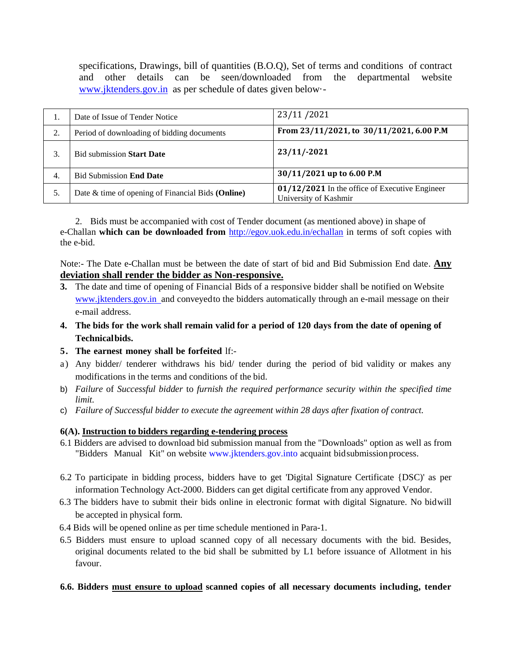specifications, Drawings, bill of quantities (B.O.O), Set of terms and conditions of contract and other details can be seen/downloaded from the departmental website [www.jktenders.gov.in](http://www.jktenders.gov.in/) as per schedule of dates given below·-

| Ī. | Date of Issue of Tender Notice                    | 23/11/2021                                                                |
|----|---------------------------------------------------|---------------------------------------------------------------------------|
| 2. | Period of downloading of bidding documents        | From 23/11/2021, to 30/11/2021, 6.00 P.M                                  |
| 3. | <b>Bid submission Start Date</b>                  | $23/11/-2021$                                                             |
| 4. | <b>Bid Submission End Date</b>                    | 30/11/2021 up to 6.00 P.M                                                 |
| 5. | Date & time of opening of Financial Bids (Online) | $01/12/2021$ In the office of Executive Engineer<br>University of Kashmir |

2. Bids must be accompanied with cost of Tender document (as mentioned above) in shape of e-Challan **which can be downloaded from** <http://egov.uok.edu.in/echallan> in terms of soft copies with the e-bid.

Note:- The Date e-Challan must be between the date of start of bid and Bid Submission End date. **Any deviation shall render the bidder as Non-responsive.**

- **3.** The date and time of opening of Financial Bids of a responsive bidder shall be notified on Website www.jktenders.gov.in and conveyed to the bidders automatically through an e-mail message on their e-mail address.
- 4. The bids for the work shall remain valid for a period of 120 days from the date of opening of **Technical bids.**
- **5. The earnest money shall be forfeited** lf:-
- a) Any bidder/ tenderer withdraws his bid/ tender during the period of bid validity or makes any modifications in the terms and conditions of the bid.
- b) *Failure* of *Successful bidder* to *furnish the required performance security within the specified time limit.*
- c) *Failure of Successful bidder to execute the agreement within 28 days after fixation of contract.*

#### **6(A). Instruction to bidders regarding e-tendering process**

- 6.1 Bidders are advised to download bid submission manual from the "Downloads" option as well as from "Bidders Manual Kit" on website [www.jktenders.gov.into](http://www.jktenders.gov.into/) acquaint bid submission process.
- 6.2 To participate in bidding process, bidders have to get 'Digital Signature Certificate {DSC)' as per information Technology Act-2000. Bidders can get digital certificate from any approved Vendor.
- 6.3 The bidders have to submit their bids online in electronic format with digital Signature. No bidwill be accepted in physical form.
- 6.4 Bids will be opened online as per time schedule mentioned in Para-1.
- 6.5 Bidders must ensure to upload scanned copy of all necessary documents with the bid. Besides, original documents related to the bid shall be submitted by L1 before issuance of Allotment in his favour.

## **6.6. Bidders must ensure to upload scanned copies of all necessary documents including, tender**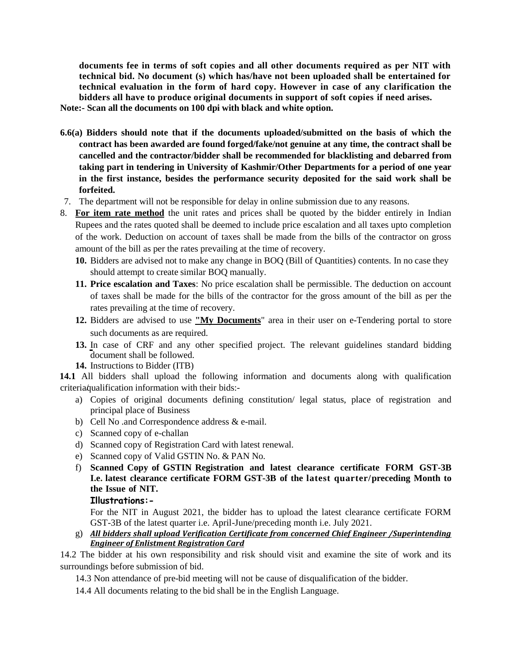**documents fee in terms of soft copies and all other documents required as per NIT with technical bid. No document (s) which has/have not been uploaded shall be entertained for technical evaluation in the form of hard copy. However in case of any clarification the bidders all have to produce original documents in support of soft copies if need arises.**

**Note:- Scan all the documents on 100 dpi with black and white option.**

- **6.6(a) Bidders should note that if the documents uploaded/submitted on the basis of which the contract has been awarded are found forged/fake/not genuine at any time, the contract shall be cancelled and the contractor/bidder shall be recommended for blacklisting and debarred from taking part in tendering in University of Kashmir/Other Departments for a period of one year in the first instance, besides the performance security deposited for the said work shall be forfeited.**
- 7. The department will not be responsible for delay in online submission due to any reasons.
- 8. **For item rate method** the unit rates and prices shall be quoted by the bidder entirely in Indian Rupees and the rates quoted shall be deemed to include price escalation and all taxes upto completion of the work. Deduction on account of taxes shall be made from the bills of the contractor on gross amount of the bill as per the rates prevailing at the time of recovery.
	- **10.** Bidders are advised not to make any change in BOQ (Bill of Quantities) contents. In no case they should attempt to create similar BOQ manually.
	- **11. Price escalation and Taxes**: No price escalation shall be permissible. The deduction on account of taxes shall be made for the bills of the contractor for the gross amount of the bill as per the rates prevailing at the time of recovery.
	- **12.** Bidders are advised to use **"My Documents**" area in their user on e-Tendering portal to store such documents as are required.
	- **13.** In case of CRF and any other specified project. The relevant guidelines standard bidding document shall be followed.
	- **14.** Instructions to Bidder (ITB)

**14.1** All bidders shall upload the following information and documents along with qualification criteria qualification information with their bids:-

- a) Copies of original documents defining constitution/ legal status, place of registration and principal place of Business
- b) Cell No .and Correspondence address & e-mail.
- c) Scanned copy of e-challan
- d) Scanned copy of Registration Card with latest renewal.
- e) Scanned copy of Valid GSTIN No. & PAN No.
- f) **Scanned Copy of GSTIN Registration and latest clearance certificate FORM GST-3B I.e. latest clearance certificate FORM GST-3B of the latest quarter/preceding Month to the Issue of NIT.**

#### **Illustrations:-**

For the NIT in August 2021, the bidder has to upload the latest clearance certificate FORM GST-3B of the latest quarter i.e. April-June/preceding month i.e. July 2021.

g) *All bidders shall upload Verification Certificate from concerned Chief Engineer /Superintending Engineer of Enlistment Registration Card*

14.2 The bidder at his own responsibility and risk should visit and examine the site of work and its surroundings before submission of bid.

14.3 Non attendance of pre-bid meeting will not be cause of disqualification of the bidder.

14.4 All documents relating to the bid shall be in the English Language.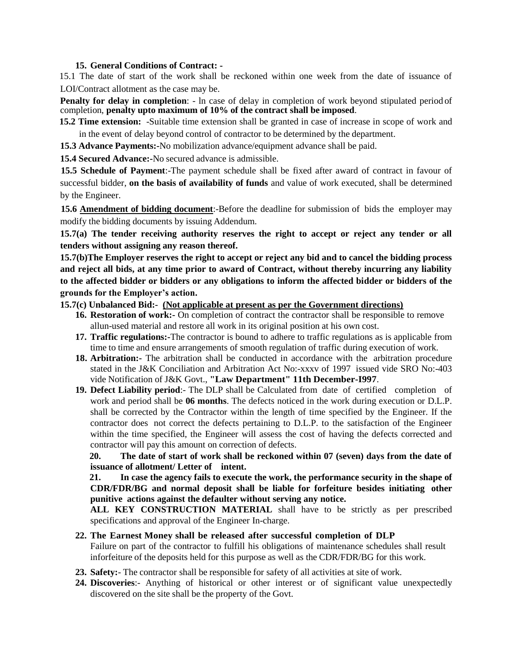#### **15. General Conditions of Contract: -**

15.1 The date of start of the work shall be reckoned within one week from the date of issuance of LOI/Contract allotment as the case may be.

**Penalty for delay in completion:** - ln case of delay in completion of work beyond stipulated period of completion, **penalty upto maximum of 10% of the contract shall be imposed**.

**15.2 Time extension:** -Suitable time extension shall be granted in case of increase in scope of work and in the event of delay beyond control of contractor to be determined by the department.

**15.3 Advance Payments:-**No mobilization advance/equipment advance shall be paid.

**15.4 Secured Advance:-**No secured advance is admissible.

**15.5 Schedule of Payment**:-The payment schedule shall be fixed after award of contract in favour of successful bidder, **on the basis of availability of funds** and value of work executed, shall be determined by the Engineer.

**15.6 Amendment of bidding document**:-Before the deadline for submission of bids the employer may modify the bidding documents by issuing Addendum.

**15.7(a) The tender receiving authority reserves the right to accept or reject any tender or all tenders without assigning any reason thereof.**

**15.7(b)The Employer reserves the right to accept or reject any bid and to cancel the bidding process and reject all bids, at any time prior to award of Contract, without thereby incurring any liability to the affected bidder or bidders or any obligations to inform the affected bidder or bidders of the grounds for the Employer's action.**

### **15.7(c) Unbalanced Bid:- (Not applicable at present as per the Government directions)**

- **16. Restoration of work:-** On completion of contract the contractor shall be responsible to remove allun-used material and restore all work in its original position at his own cost.
- **17. Traffic regulations:-**The contractor is bound to adhere to traffic regulations as is applicable from time to time and ensure arrangements of smooth regulation of traffic during execution of work.
- **18. Arbitration:-** The arbitration shall be conducted in accordance with the arbitration procedure stated in the J&K Conciliation and Arbitration Act No:-xxxv of 1997 issued vide SRO No:-403 vide Notification of J&K Govt., **"Law Department" 11th December-I997**.
- **19. Defect Liability period**:- The DLP shall be Calculated from date of certified completion of work and period shall be **06 months**. The defects noticed in the work during execution or D.L.P. shall be corrected by the Contractor within the length of time specified by the Engineer. If the contractor does not correct the defects pertaining to D.L.P. to the satisfaction of the Engineer within the time specified, the Engineer will assess the cost of having the defects corrected and contractor will pay this amount on correction of defects.

**20. The date of start of work shall be reckoned within 07 (seven) days from the date of issuance of allotment/ Letter of intent.** 

**21. In case the agency fails to execute the work, the performance security in the shape of CDR/FDR/BG and normal deposit shall be liable for forfeiture besides initiating other punitive actions against the defaulter without serving any notice.**

**ALL KEY CONSTRUCTION MATERIAL** shall have to be strictly as per prescribed specifications and approval of the Engineer In-charge.

#### **22. The Earnest Money shall be released after successful completion of DLP**

Failure on part of the contractor to fulfill his obligations of maintenance schedules shall result inforfeiture of the deposits held for this purpose as well as the CDR/FDR/BG for this work.

- **23. Safety:** The contractor shall be responsible for safety of all activities at site of work.
- **24. Discoveries**:- Anything of historical or other interest or of significant value unexpectedly discovered on the site shall be the property of the Govt.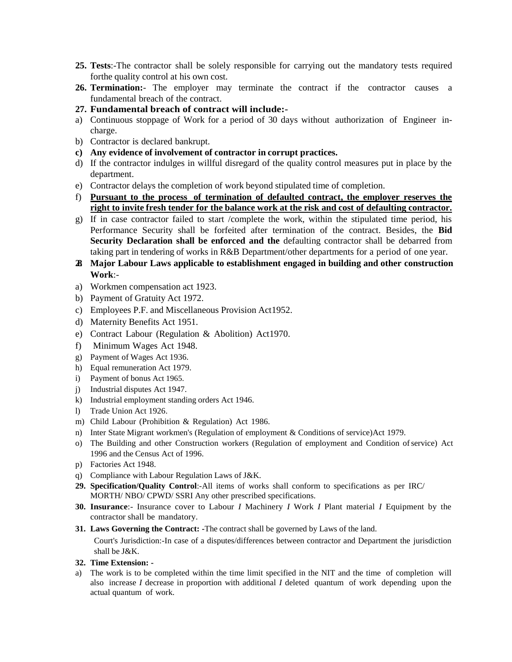- **25. Tests**:-The contractor shall be solely responsible for carrying out the mandatory tests required forthe quality control at his own cost.
- **26. Termination:** The employer may terminate the contract if the contractor causes a fundamental breach of the contract.
- **27. Fundamental breach of contract will include:-**
- a) Continuous stoppage of Work for a period of 30 days without authorization of Engineer incharge.
- b) Contractor is declared bankrupt.
- **c) Any evidence of involvement of contractor in corrupt practices.**
- d) If the contractor indulges in willful disregard of the quality control measures put in place by the department.
- e) Contractor delays the completion of work beyond stipulated time of completion.
- f) **Pursuant to the process of termination of defaulted contract, the employer reserves the right to invite fresh tender for the balance work at the risk and cost of defaulting contractor.**
- g) If in case contractor failed to start /complete the work, within the stipulated time period, his Performance Security shall be forfeited after termination of the contract. Besides, the **Bid Security Declaration shall be enforced and the** defaulting contractor shall be debarred from taking part in tendering of works in R&B Department/other departments for a period of one year.
- **28. Major Labour Laws applicable to establishment engaged in building and other construction Work**:-
- a) Workmen compensation act 1923.
- b) Payment of Gratuity Act 1972.
- c) Employees P.F. and Miscellaneous Provision Act1952.
- d) Maternity Benefits Act 1951.
- e) Contract Labour (Regulation & Abolition) Act1970.
- f) Minimum Wages Act 1948.
- g) Payment of Wages Act 1936.
- h) Equal remuneration Act 1979.
- i) Payment of bonus Act 1965.
- j) Industrial disputes Act 1947.
- k) Industrial employment standing orders Act 1946.
- l) Trade Union Act 1926.
- m) Child Labour (Prohibition & Regulation) Act 1986.
- n) Inter State Migrant workmen's (Regulation of employment & Conditions of service)Act 1979.
- o) The Building and other Construction workers (Regulation of employment and Condition ofservice) Act 1996 and the Census Act of 1996.
- p) Factories Act 1948.
- q) Compliance with Labour Regulation Laws of J&K.
- **29. Specification/Quality Control**:-All items of works shall conform to specifications as per IRC/ MORTH/ NBO/ CPWD/ SSRI Any other prescribed specifications.
- **30. Insurance**:- Insurance cover to Labour *I* Machinery *I* Work *I* Plant material *I* Equipment by the contractor shall be mandatory.
- **31. Laws Governing the Contract: -**The contract shall be governed by Laws of the land.

Court's Jurisdiction:-In case of a disputes/differences between contractor and Department the jurisdiction shall be J&K.

- **32. Time Extension: -**
- a) The work is to be completed within the time limit specified in the NIT and the time of completion will also increase *I* decrease in proportion with additional *I* deleted quantum of work depending upon the actual quantum of work.